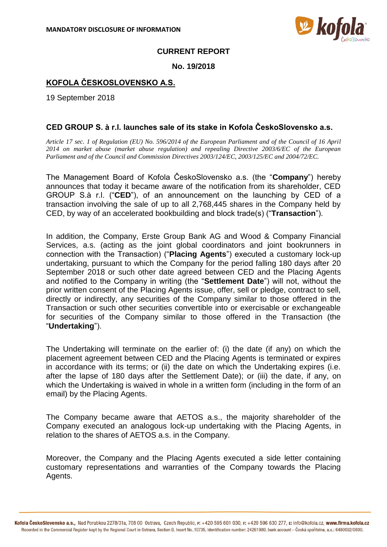

## **CURRENT REPORT**

**No. 19/2018**

# **KOFOLA ČESKOSLOVENSKO A.S.**

19 September 2018

## **CED GROUP S. à r.l. launches sale of its stake in Kofola ČeskoSlovensko a.s.**

*Article 17 sec. 1 of Regulation (EU) No. 596/2014 of the European Parliament and of the Council of 16 April 2014 on market abuse (market abuse regulation) and repealing Directive 2003/6/EC of the European Parliament and of the Council and Commission Directives 2003/124/EC, 2003/125/EC and 2004/72/EC.*

The Management Board of Kofola ČeskoSlovensko a.s. (the "**Company**") hereby announces that today it became aware of the notification from its shareholder, CED GROUP S.à r.l. ("**CED**"), of an announcement on the launching by CED of a transaction involving the sale of up to all 2,768,445 shares in the Company held by CED, by way of an accelerated bookbuilding and block trade(s) ("**Transaction**").

In addition, the Company, Erste Group Bank AG and Wood & Company Financial Services, a.s. (acting as the joint global coordinators and joint bookrunners in connection with the Transaction) ("**Placing Agents**") executed a customary lock-up undertaking, pursuant to which the Company for the period falling 180 days after 20 September 2018 or such other date agreed between CED and the Placing Agents and notified to the Company in writing (the "**Settlement Date**") will not, without the prior written consent of the Placing Agents issue, offer, sell or pledge, contract to sell, directly or indirectly, any securities of the Company similar to those offered in the Transaction or such other securities convertible into or exercisable or exchangeable for securities of the Company similar to those offered in the Transaction (the "**Undertaking**").

The Undertaking will terminate on the earlier of: (i) the date (if any) on which the placement agreement between CED and the Placing Agents is terminated or expires in accordance with its terms; or (ii) the date on which the Undertaking expires (i.e. after the lapse of 180 days after the Settlement Date); or (iii) the date, if any, on which the Undertaking is waived in whole in a written form (including in the form of an email) by the Placing Agents.

The Company became aware that AETOS a.s., the majority shareholder of the Company executed an analogous lock-up undertaking with the Placing Agents, in relation to the shares of AETOS a.s. in the Company.

Moreover, the Company and the Placing Agents executed a side letter containing customary representations and warranties of the Company towards the Placing Agents.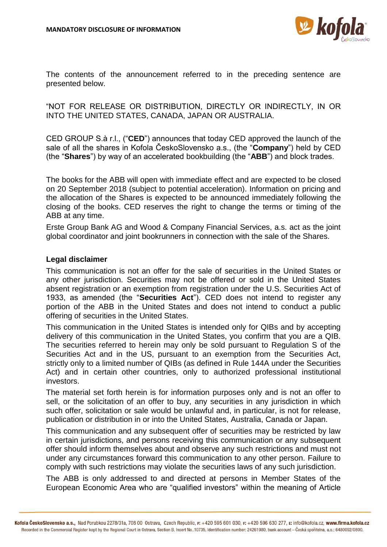

The contents of the announcement referred to in the preceding sentence are presented below.

"NOT FOR RELEASE OR DISTRIBUTION, DIRECTLY OR INDIRECTLY, IN OR INTO THE UNITED STATES, CANADA, JAPAN OR AUSTRALIA.

CED GROUP S.à r.l., ("**CED**") announces that today CED approved the launch of the sale of all the shares in Kofola ČeskoSlovensko a.s., (the "**Company**") held by CED (the "**Shares**") by way of an accelerated bookbuilding (the "**ABB**") and block trades.

The books for the ABB will open with immediate effect and are expected to be closed on 20 September 2018 (subject to potential acceleration). Information on pricing and the allocation of the Shares is expected to be announced immediately following the closing of the books. CED reserves the right to change the terms or timing of the ABB at any time.

Erste Group Bank AG and Wood & Company Financial Services, a.s. act as the joint global coordinator and joint bookrunners in connection with the sale of the Shares.

#### **Legal disclaimer**

This communication is not an offer for the sale of securities in the United States or any other jurisdiction. Securities may not be offered or sold in the United States absent registration or an exemption from registration under the U.S. Securities Act of 1933, as amended (the "**Securities Act**"). CED does not intend to register any portion of the ABB in the United States and does not intend to conduct a public offering of securities in the United States.

This communication in the United States is intended only for QIBs and by accepting delivery of this communication in the United States, you confirm that you are a QIB. The securities referred to herein may only be sold pursuant to Regulation S of the Securities Act and in the US, pursuant to an exemption from the Securities Act, strictly only to a limited number of QIBs (as defined in Rule 144A under the Securities Act) and in certain other countries, only to authorized professional institutional investors.

The material set forth herein is for information purposes only and is not an offer to sell, or the solicitation of an offer to buy, any securities in any jurisdiction in which such offer, solicitation or sale would be unlawful and, in particular, is not for release, publication or distribution in or into the United States, Australia, Canada or Japan.

This communication and any subsequent offer of securities may be restricted by law in certain jurisdictions, and persons receiving this communication or any subsequent offer should inform themselves about and observe any such restrictions and must not under any circumstances forward this communication to any other person. Failure to comply with such restrictions may violate the securities laws of any such jurisdiction.

The ABB is only addressed to and directed at persons in Member States of the European Economic Area who are "qualified investors" within the meaning of Article